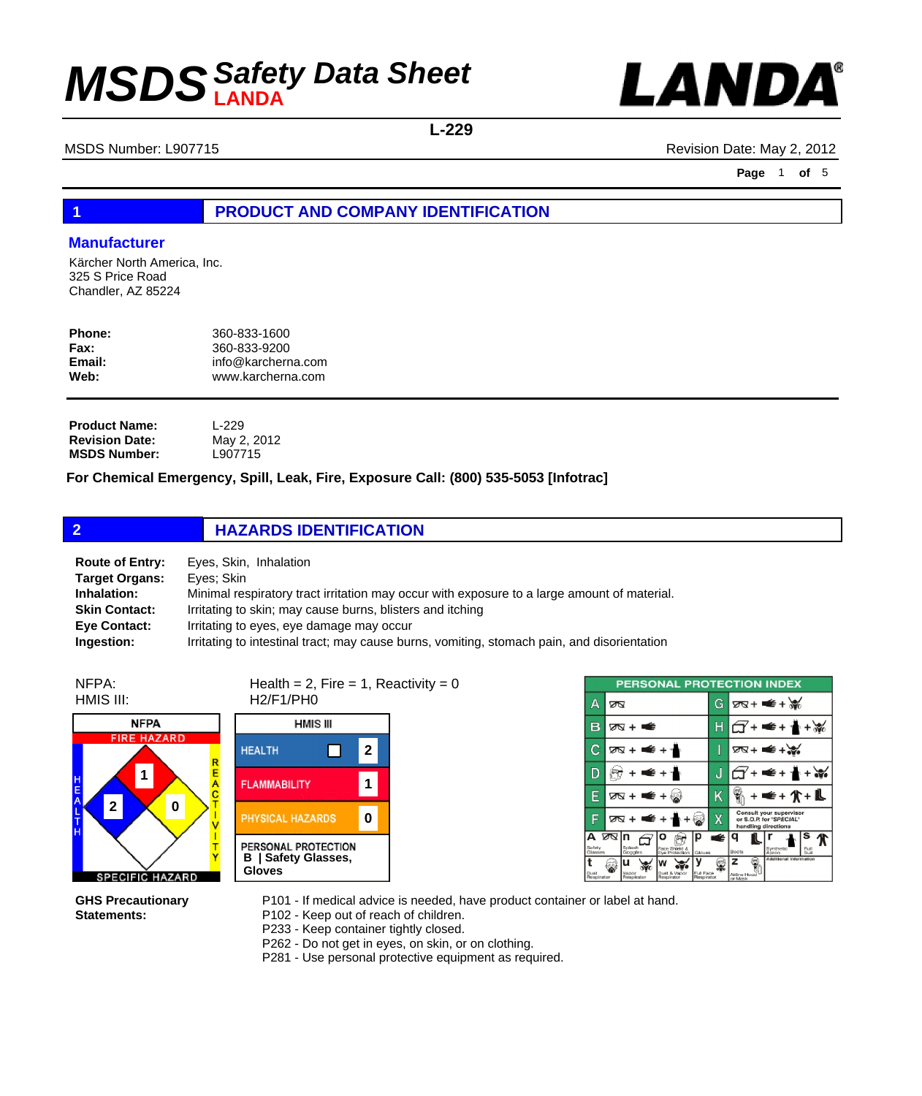

**L-229**

MSDS Number: L907715 **MSDS Number: L907715** Revision Date: May 2, 2012

**Page** 1 **of** 5

### **1 PRODUCT AND COMPANY IDENTIFICATION**

### **Manufacturer**

Kärcher North America, Inc. 325 S Price Road Chandler, AZ 85224

| Phone: | 360-833-1600       |
|--------|--------------------|
| Fax:   | 360-833-9200       |
| Email: | info@karcherna.com |
| Web:   | www.karcherna.com  |
|        |                    |

**Product Name: Revision Date: MSDS Number:** L-229 May 2, 2012 L907715

**For Chemical Emergency, Spill, Leak, Fire, Exposure Call: (800) 535-5053 [Infotrac]**

|                       | <b>HAZARDS IDENTIFICATION</b>                               |  |
|-----------------------|-------------------------------------------------------------|--|
| <b>Target Organs:</b> | <b>Route of Entry:</b> Eyes, Skin, Inhalation<br>Eyes; Skin |  |

**Inhalation:** Minimal respiratory tract irritation may occur with exposure to a large amount of material. **Skin Contact:** Irritating to skin; may cause burns, blisters and itching **Eye Contact:** Irritating to eyes, eye damage may occur **Ingestion:** Irritating to intestinal tract; may cause burns, vomiting, stomach pain, and disorientation

NFPA: HMIS III:



Health = 2, Fire = 1, Reactivity =  $0$ H2/F1/PH0



| <b>PERSONAL PROTECTION INDEX</b>      |    |                          |                                      |                         |   |                              |                                                                           |                   |
|---------------------------------------|----|--------------------------|--------------------------------------|-------------------------|---|------------------------------|---------------------------------------------------------------------------|-------------------|
| А                                     | ∞⊠ |                          |                                      |                         | G |                              | $78 + 4 + 36$                                                             |                   |
| в                                     |    | ∞ + ਵਿੱ                  |                                      |                         | Н |                              |                                                                           |                   |
| С                                     |    | क्र + ≢ + ≁              |                                      |                         | I |                              | 75+ €+                                                                    |                   |
| D                                     |    | €+                       |                                      |                         | J |                              | € + 1                                                                     |                   |
| E                                     |    | ⊠ + ■ + ⊠                |                                      |                         | Κ |                              |                                                                           | <b>∉+介+L</b>      |
| E                                     |    |                          | ळ+ <del>≤</del> + ∱+ ⊗               |                         | Χ |                              | Consult your supervisor<br>or S.O.P. for "SPECIAL"<br>handling directions |                   |
| A Ø <sub>N</sub><br>Safety<br>Glasses |    | In<br>Splash<br>Goggles  | o<br>Face Shield &<br>Eve Protection | Gloves                  | É | Boots                        | Synthetic<br>Ahron                                                        | s<br>Full<br>Suit |
| ŧ<br>Dust<br>Respirator               |    | u<br>Vapor<br>Respirator | Dust & Vapor<br>Respirator           | Full Face<br>Respirator |   | z<br>Airline Hood<br>or Mask | Additional Information                                                    |                   |

**GHS Precautionary Statements:**

P101 - If medical advice is needed, have product container or label at hand.

P102 - Keep out of reach of children.

P233 - Keep container tightly closed.

P262 - Do not get in eyes, on skin, or on clothing.

P281 - Use personal protective equipment as required.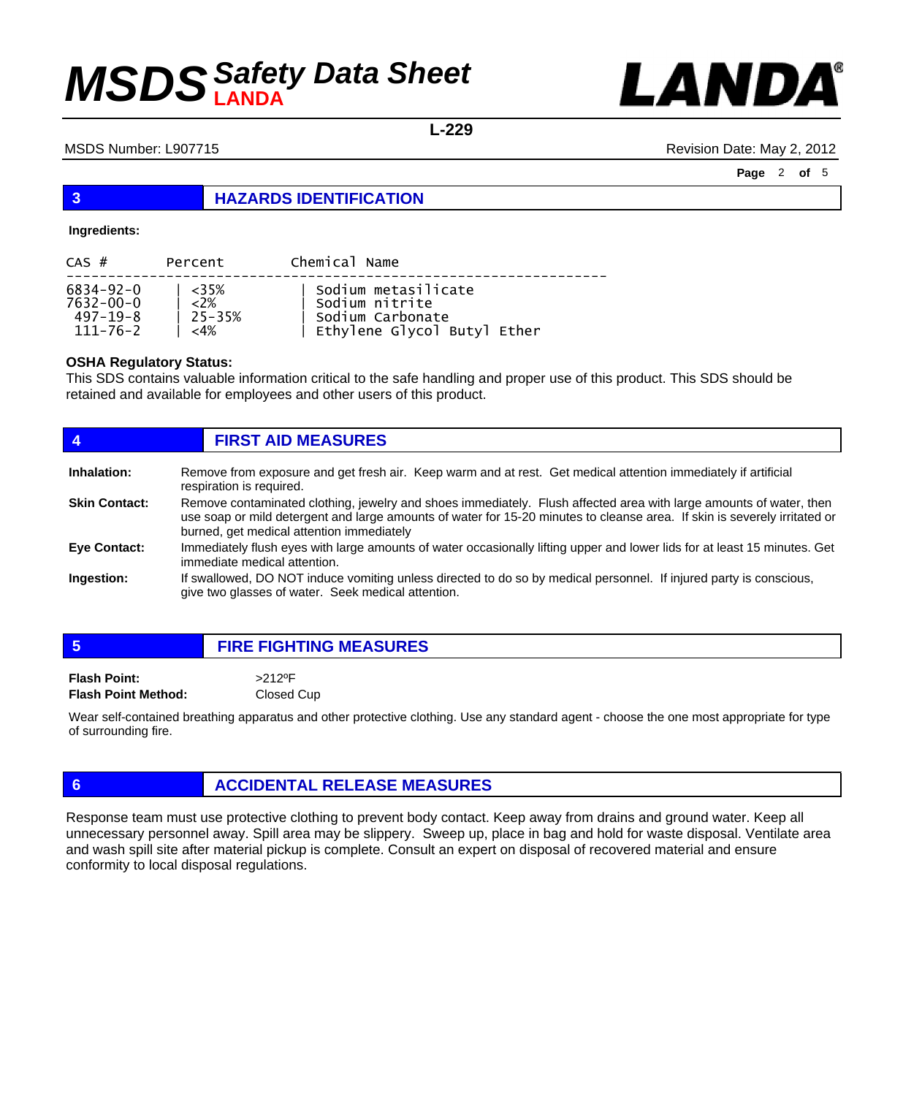

**L-229**

### MSDS Number: L907715 **MSDS Number: L907715** Revision Date: May 2, 2012

**Page** 2 **of** 5

### **3 HAZARDS IDENTIFICATION**

### **Ingredients:**

| $CAS$ #   | Percent     | Chemical Name               |
|-----------|-------------|-----------------------------|
| 6834-92-0 | – <35%      | Sodium metasilicate         |
| 7632-00-0 | $\sim$ <2%  | Sodium nitrite              |
| 497–19–8  | $125 - 35%$ | Sodium Carbonate            |
| 111-76-2  | ${<}4\%$    | Ethylene Glycol Butyl Ether |

### **OSHA Regulatory Status:**

This SDS contains valuable information critical to the safe handling and proper use of this product. This SDS should be retained and available for employees and other users of this product.

| $\overline{4}$                    | <b>FIRST AID MEASURES</b>                                                                                                                                                                                                                       |  |  |  |
|-----------------------------------|-------------------------------------------------------------------------------------------------------------------------------------------------------------------------------------------------------------------------------------------------|--|--|--|
| Inhalation:                       | Remove from exposure and get fresh air. Keep warm and at rest. Get medical attention immediately if artificial<br>respiration is required.                                                                                                      |  |  |  |
| <b>Skin Contact:</b>              | Remove contaminated clothing, jewelry and shoes immediately. Flush affected area with large amounts of water, then<br>use soap or mild detergent and large amounts of water for 15-20 minutes to cleanse area. If skin is severely irritated or |  |  |  |
|                                   | Immediately flush eyes with large amounts of water occasionally lifting upper and lower lids for at least 15 minutes. Get<br>immediate medical attention.                                                                                       |  |  |  |
|                                   | If swallowed, DO NOT induce vomiting unless directed to do so by medical personnel. If injured party is conscious,<br>give two glasses of water. Seek medical attention.                                                                        |  |  |  |
| <b>Eye Contact:</b><br>Ingestion: | burned, get medical attention immediately                                                                                                                                                                                                       |  |  |  |

## **5 FIRE FIGHTING MEASURES Flash Point:** >212ºF **Flash Point Method:** Closed Cup

Wear self-contained breathing apparatus and other protective clothing. Use any standard agent - choose the one most appropriate for type of surrounding fire.

### **6 ACCIDENTAL RELEASE MEASURES**

Response team must use protective clothing to prevent body contact. Keep away from drains and ground water. Keep all unnecessary personnel away. Spill area may be slippery. Sweep up, place in bag and hold for waste disposal. Ventilate area and wash spill site after material pickup is complete. Consult an expert on disposal of recovered material and ensure conformity to local disposal regulations.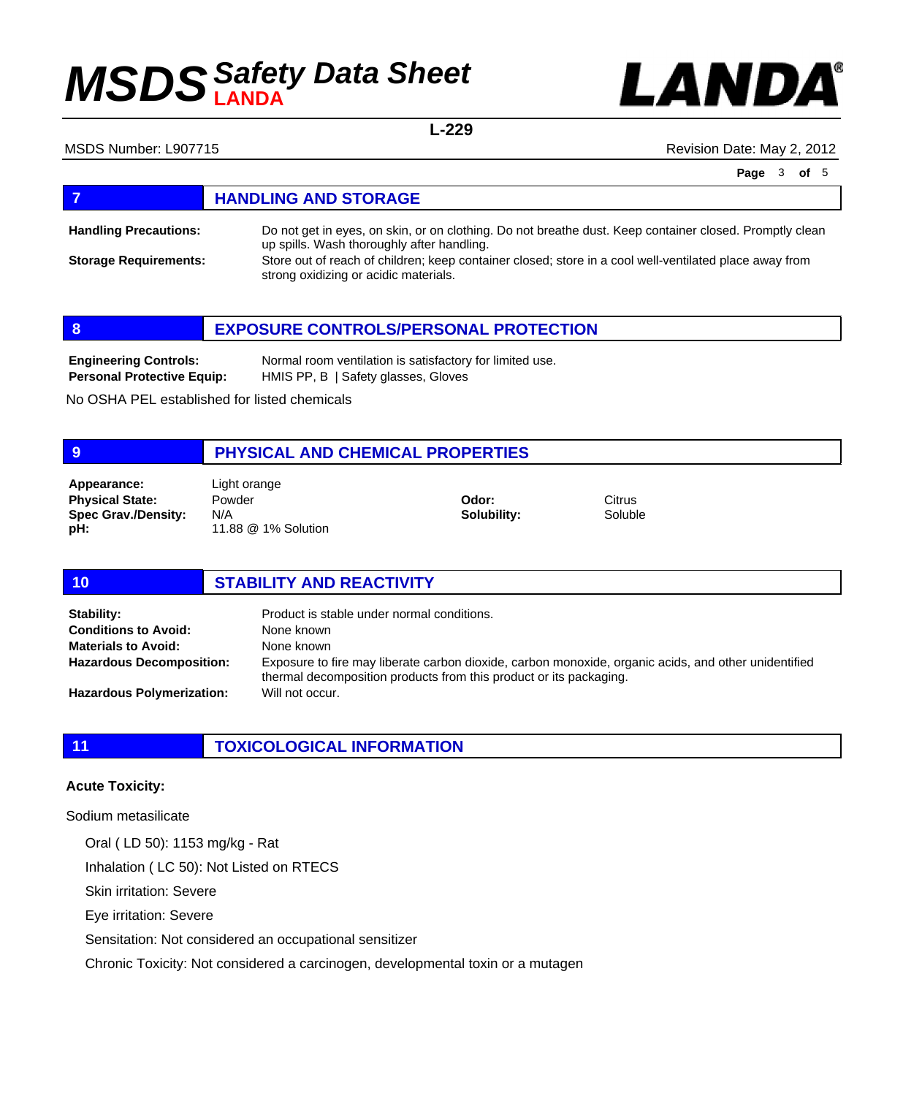

**L-229**

MSDS Number: L907715 **MSDS Number: L907715** Revision Date: May 2, 2012

**Page** 3 **of** 5

## **FIGURE 12 IN STORAGE**

Do not get in eyes, on skin, or on clothing. Do not breathe dust. Keep container closed. Promptly clean up spills. Wash thoroughly after handling. Store out of reach of children; keep container closed; store in a cool well-ventilated place away from strong oxidizing or acidic materials. **Handling Precautions: Storage Requirements:**



Normal room ventilation is satisfactory for limited use. HMIS PP, B | Safety glasses, Gloves **Engineering Controls: Personal Protective Equip:**

No OSHA PEL established for listed chemicals

### **9 PHYSICAL AND CHEMICAL PROPERTIES**

**Physical State: Spec Grav./Density: pH: Appearance:** Light orange

Powder N/A 11.88 @ 1% Solution

**Odor: Solubility:** **Citrus** Soluble

### **10 STABILITY AND REACTIVITY**

| Stability:                       | Product is stable under normal conditions.                                                                                                                                 |
|----------------------------------|----------------------------------------------------------------------------------------------------------------------------------------------------------------------------|
| <b>Conditions to Avoid:</b>      | None known                                                                                                                                                                 |
| <b>Materials to Avoid:</b>       | None known                                                                                                                                                                 |
| <b>Hazardous Decomposition:</b>  | Exposure to fire may liberate carbon dioxide, carbon monoxide, organic acids, and other unidentified<br>thermal decomposition products from this product or its packaging. |
| <b>Hazardous Polymerization:</b> | Will not occur.                                                                                                                                                            |

### **11 TOXICOLOGICAL INFORMATION**

### **Acute Toxicity:**

Sodium metasilicate

Oral ( LD 50): 1153 mg/kg - Rat

Inhalation ( LC 50): Not Listed on RTECS

Skin irritation: Severe

Eye irritation: Severe

Sensitation: Not considered an occupational sensitizer

Chronic Toxicity: Not considered a carcinogen, developmental toxin or a mutagen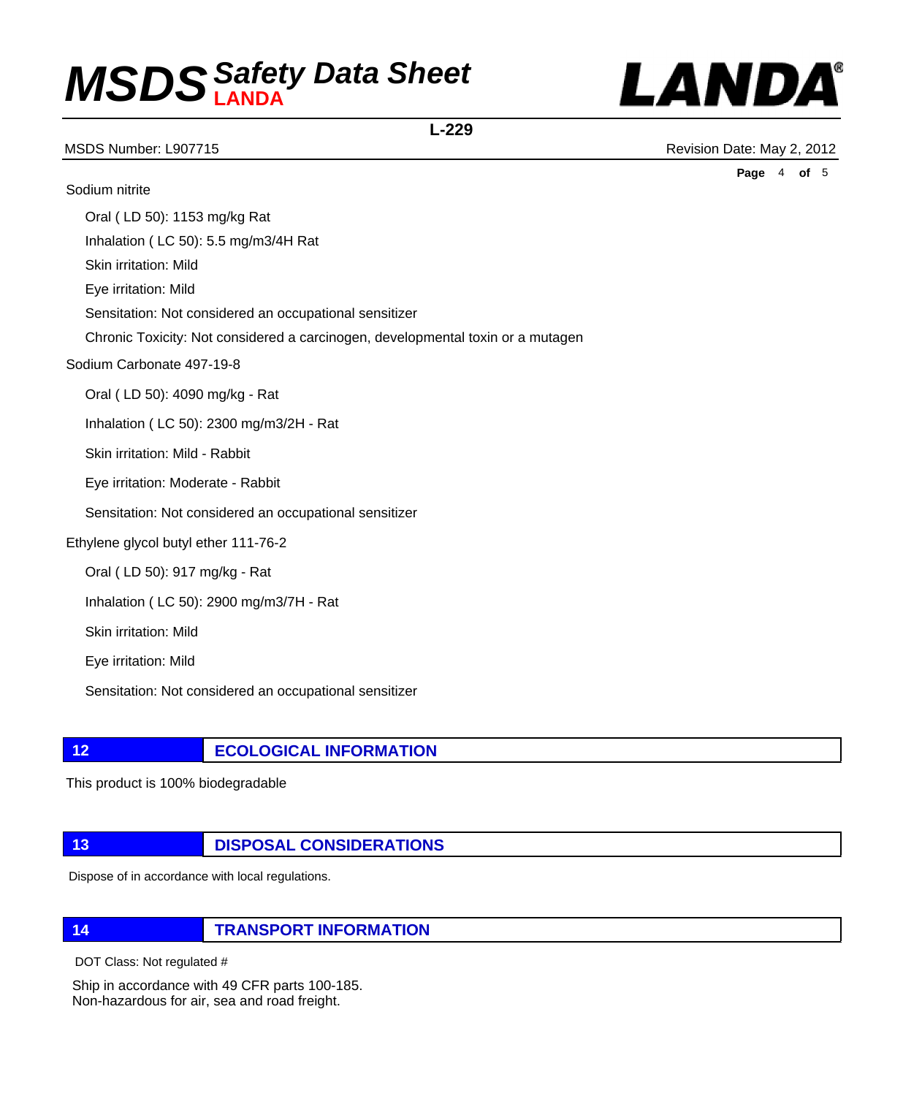

**L-229**

MSDS Number: L907715 **MSDS** Number: L907715

**Page** 4 **of** 5

Sodium nitrite Oral ( LD 50): 1153 mg/kg Rat Inhalation ( LC 50): 5.5 mg/m3/4H Rat Skin irritation: Mild Eye irritation: Mild Sensitation: Not considered an occupational sensitizer Chronic Toxicity: Not considered a carcinogen, developmental toxin or a mutagen Sodium Carbonate 497-19-8 Oral ( LD 50): 4090 mg/kg - Rat Inhalation ( LC 50): 2300 mg/m3/2H - Rat Skin irritation: Mild - Rabbit Eye irritation: Moderate - Rabbit Sensitation: Not considered an occupational sensitizer Ethylene glycol butyl ether 111-76-2 Oral ( LD 50): 917 mg/kg - Rat Inhalation ( LC 50): 2900 mg/m3/7H - Rat Skin irritation: Mild

Eye irritation: Mild

Sensitation: Not considered an occupational sensitizer

**12 ECOLOGICAL INFORMATION** 

This product is 100% biodegradable

### **13 DISPOSAL CONSIDERATIONS**

Dispose of in accordance with local regulations.

**14 TRANSPORT INFORMATION**

DOT Class: Not regulated #

Ship in accordance with 49 CFR parts 100-185. Non-hazardous for air, sea and road freight.